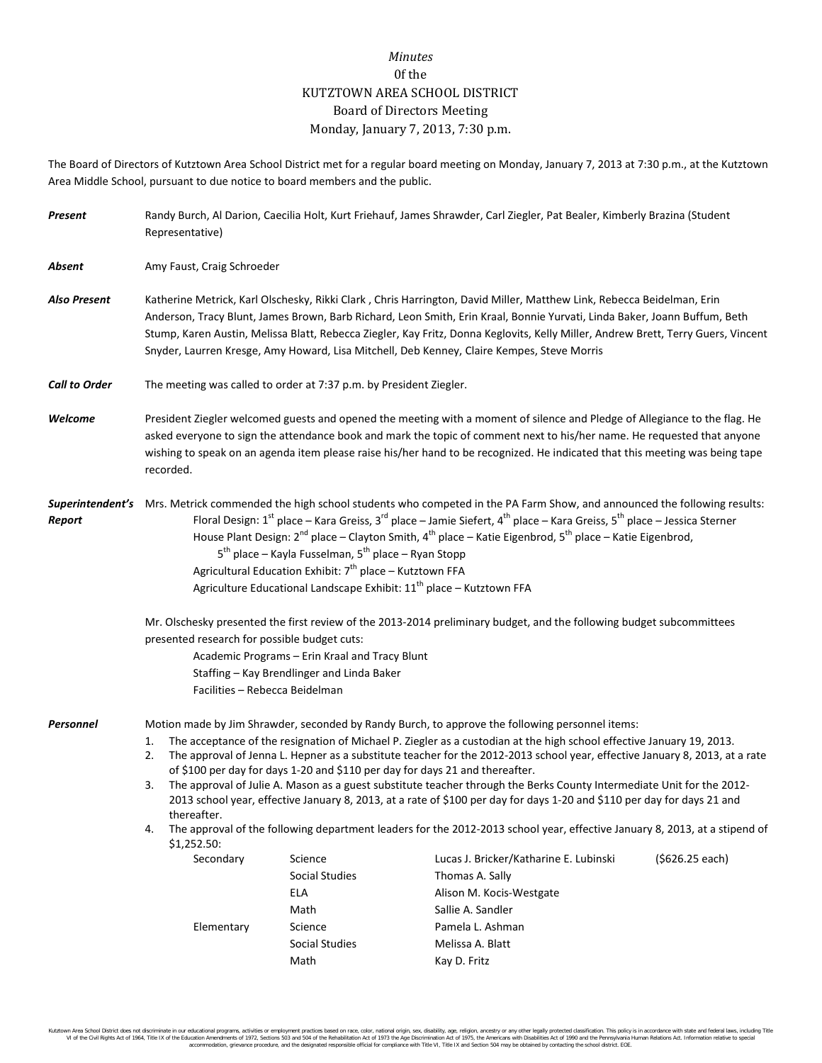## *Minutes* 0f the KUTZTOWN AREA SCHOOL DISTRICT Board of Directors Meeting Monday, January 7, 2013, 7:30 p.m.

The Board of Directors of Kutztown Area School District met for a regular board meeting on Monday, January 7, 2013 at 7:30 p.m., at the Kutztown Area Middle School, pursuant to due notice to board members and the public.

| Present              | Representative)                                                                                                                                                                                                                                                                                                                                                                                                                                                                                                                                                                                                                                                                                                                                                                                                                                                                                                                                                                                                                                                                     | Randy Burch, Al Darion, Caecilia Holt, Kurt Friehauf, James Shrawder, Carl Ziegler, Pat Bealer, Kimberly Brazina (Student                                                                                                                                                                                                                                                                                                                                                             |                                                      |  |  |
|----------------------|-------------------------------------------------------------------------------------------------------------------------------------------------------------------------------------------------------------------------------------------------------------------------------------------------------------------------------------------------------------------------------------------------------------------------------------------------------------------------------------------------------------------------------------------------------------------------------------------------------------------------------------------------------------------------------------------------------------------------------------------------------------------------------------------------------------------------------------------------------------------------------------------------------------------------------------------------------------------------------------------------------------------------------------------------------------------------------------|---------------------------------------------------------------------------------------------------------------------------------------------------------------------------------------------------------------------------------------------------------------------------------------------------------------------------------------------------------------------------------------------------------------------------------------------------------------------------------------|------------------------------------------------------|--|--|
| Absent               | Amy Faust, Craig Schroeder                                                                                                                                                                                                                                                                                                                                                                                                                                                                                                                                                                                                                                                                                                                                                                                                                                                                                                                                                                                                                                                          |                                                                                                                                                                                                                                                                                                                                                                                                                                                                                       |                                                      |  |  |
| <b>Also Present</b>  |                                                                                                                                                                                                                                                                                                                                                                                                                                                                                                                                                                                                                                                                                                                                                                                                                                                                                                                                                                                                                                                                                     | Katherine Metrick, Karl Olschesky, Rikki Clark, Chris Harrington, David Miller, Matthew Link, Rebecca Beidelman, Erin<br>Anderson, Tracy Blunt, James Brown, Barb Richard, Leon Smith, Erin Kraal, Bonnie Yurvati, Linda Baker, Joann Buffum, Beth<br>Stump, Karen Austin, Melissa Blatt, Rebecca Ziegler, Kay Fritz, Donna Keglovits, Kelly Miller, Andrew Brett, Terry Guers, Vincent<br>Snyder, Laurren Kresge, Amy Howard, Lisa Mitchell, Deb Kenney, Claire Kempes, Steve Morris |                                                      |  |  |
| <b>Call to Order</b> | The meeting was called to order at 7:37 p.m. by President Ziegler.                                                                                                                                                                                                                                                                                                                                                                                                                                                                                                                                                                                                                                                                                                                                                                                                                                                                                                                                                                                                                  |                                                                                                                                                                                                                                                                                                                                                                                                                                                                                       |                                                      |  |  |
| Welcome              | recorded.                                                                                                                                                                                                                                                                                                                                                                                                                                                                                                                                                                                                                                                                                                                                                                                                                                                                                                                                                                                                                                                                           | President Ziegler welcomed guests and opened the meeting with a moment of silence and Pledge of Allegiance to the flag. He<br>asked everyone to sign the attendance book and mark the topic of comment next to his/her name. He requested that anyone<br>wishing to speak on an agenda item please raise his/her hand to be recognized. He indicated that this meeting was being tape                                                                                                 |                                                      |  |  |
| Report               | Superintendent's Mrs. Metrick commended the high school students who competed in the PA Farm Show, and announced the following results:<br>Floral Design: 1 <sup>st</sup> place – Kara Greiss, 3 <sup>rd</sup> place – Jamie Siefert, 4 <sup>th</sup> place – Kara Greiss, 5 <sup>th</sup> place – Jessica Sterner<br>House Plant Design: $2^{nd}$ place – Clayton Smith, 4 <sup>th</sup> place – Katie Eigenbrod, 5 <sup>th</sup> place – Katie Eigenbrod,<br>5 <sup>th</sup> place – Kayla Fusselman, 5 <sup>th</sup> place – Ryan Stopp<br>Agricultural Education Exhibit: 7 <sup>th</sup> place - Kutztown FFA<br>Agriculture Educational Landscape Exhibit: 11 <sup>th</sup> place - Kutztown FFA                                                                                                                                                                                                                                                                                                                                                                              |                                                                                                                                                                                                                                                                                                                                                                                                                                                                                       |                                                      |  |  |
|                      | Mr. Olschesky presented the first review of the 2013-2014 preliminary budget, and the following budget subcommittees<br>presented research for possible budget cuts:<br>Academic Programs - Erin Kraal and Tracy Blunt<br>Staffing - Kay Brendlinger and Linda Baker<br>Facilities - Rebecca Beidelman                                                                                                                                                                                                                                                                                                                                                                                                                                                                                                                                                                                                                                                                                                                                                                              |                                                                                                                                                                                                                                                                                                                                                                                                                                                                                       |                                                      |  |  |
| Personnel            | Motion made by Jim Shrawder, seconded by Randy Burch, to approve the following personnel items:<br>The acceptance of the resignation of Michael P. Ziegler as a custodian at the high school effective January 19, 2013.<br>1.<br>The approval of Jenna L. Hepner as a substitute teacher for the 2012-2013 school year, effective January 8, 2013, at a rate<br>2.<br>of \$100 per day for days 1-20 and \$110 per day for days 21 and thereafter.<br>The approval of Julie A. Mason as a guest substitute teacher through the Berks County Intermediate Unit for the 2012-<br>3.<br>2013 school year, effective January 8, 2013, at a rate of \$100 per day for days 1-20 and \$110 per day for days 21 and<br>thereafter.<br>The approval of the following department leaders for the 2012-2013 school year, effective January 8, 2013, at a stipend of<br>4.<br>$$1,252.50$ :<br>Secondary<br>Science<br>Lucas J. Bricker/Katharine E. Lubinski<br>( \$626.25 each)<br>Social Studies<br>Thomas A. Sally<br><b>ELA</b><br>Alison M. Kocis-Westgate<br>Math<br>Sallie A. Sandler |                                                                                                                                                                                                                                                                                                                                                                                                                                                                                       |                                                      |  |  |
|                      | Elementary                                                                                                                                                                                                                                                                                                                                                                                                                                                                                                                                                                                                                                                                                                                                                                                                                                                                                                                                                                                                                                                                          | Science<br>Social Studies<br>Math                                                                                                                                                                                                                                                                                                                                                                                                                                                     | Pamela L. Ashman<br>Melissa A. Blatt<br>Kay D. Fritz |  |  |